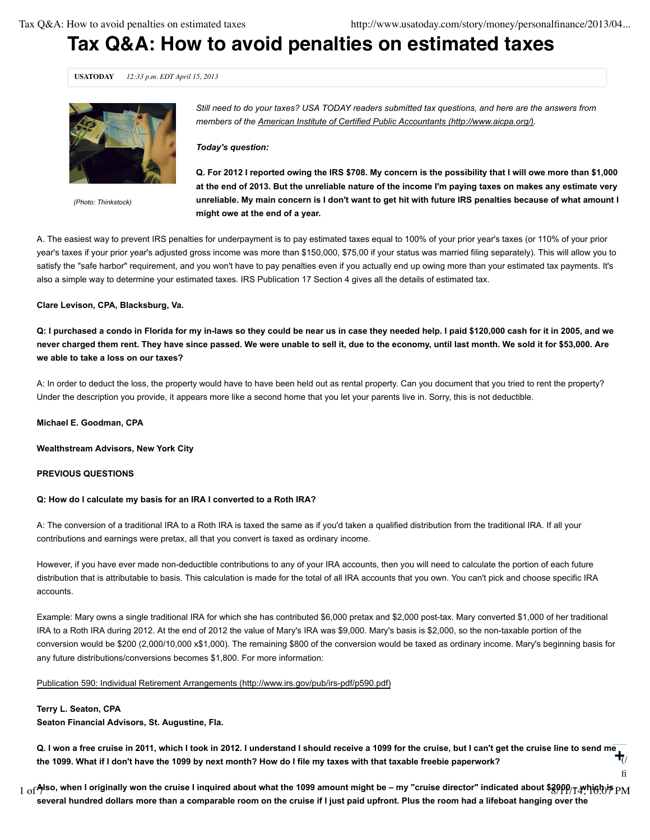final-things-to-do- $\mathbf{f}$ 

# **Tax Q&A: How to avoid penalties on estimated taxes**

**USATODAY** *12:33 p.m. EDT April 15, 2013*



*(Photo: Thinkstock)*

*Still need to do your taxes? USA TODAY readers submitted tax questions, and here are the answers from members of the American Institute of Certified Public Accountants (http://www.aicpa.org/).*

#### *Today's question:*

**Q. For 2012 I reported owing the IRS \$708. My concern is the possibility that I will owe more than \$1,000 at the end of 2013. But the unreliable nature of the income I'm paying taxes on makes any estimate very unreliable. My main concern is I don't want to get hit with future IRS penalties because of what amount I might owe at the end of a year.**

A. The easiest way to prevent IRS penalties for underpayment is to pay estimated taxes equal to 100% of your prior year's taxes (or 110% of your prior year's taxes if your prior year's adjusted gross income was more than \$150,000, \$75,00 if your status was married filing separately). This will allow you to satisfy the "safe harbor" requirement, and you won't have to pay penalties even if you actually end up owing more than your estimated tax payments. It's also a simple way to determine your estimated taxes. IRS Publication 17 Section 4 gives all the details of estimated tax.

#### **Clare Levison, CPA, Blacksburg, Va.**

**Q: I purchased a condo in Florida for my in-laws so they could be near us in case they needed help. I paid \$120,000 cash for it in 2005, and we never charged them rent. They have since passed. We were unable to sell it, due to the economy, until last month. We sold it for \$53,000. Are we able to take a loss on our taxes?**

A: In order to deduct the loss, the property would have to have been held out as rental property. Can you document that you tried to rent the property? Under the description you provide, it appears more like a second home that you let your parents live in. Sorry, this is not deductible.

**Michael E. Goodman, CPA**

**Wealthstream Advisors, New York City**

### **PREVIOUS QUESTIONS**

#### **Q: How do I calculate my basis for an IRA I converted to a Roth IRA?**

A: The conversion of a traditional IRA to a Roth IRA is taxed the same as if you'd taken a qualified distribution from the traditional IRA. If all your contributions and earnings were pretax, all that you convert is taxed as ordinary income.

However, if you have ever made non-deductible contributions to any of your IRA accounts, then you will need to calculate the portion of each future distribution that is attributable to basis. This calculation is made for the total of all IRA accounts that you own. You can't pick and choose specific IRA accounts.

Example: Mary owns a single traditional IRA for which she has contributed \$6,000 pretax and \$2,000 post-tax. Mary converted \$1,000 of her traditional IRA to a Roth IRA during 2012. At the end of 2012 the value of Mary's IRA was \$9,000. Mary's basis is \$2,000, so the non-taxable portion of the conversion would be \$200 (2,000/10,000 x\$1,000). The remaining \$800 of the conversion would be taxed as ordinary income. Mary's beginning basis for any future distributions/conversions becomes \$1,800. For more information:

#### Publication 590: Individual Retirement Arrangements (http://www.irs.gov/pub/irs-pdf/p590.pdf)

#### **Terry L. Seaton, CPA**

**Seaton Financial Advisors, St. Augustine, Fla.**

Q. I won a free cruise in 2011, which I took in 2012. I understand I should receive a 1099 for the cruise, but I can't get the cruise line to send me<br>the 1099. What if I don't have the 1099 by next month? How do I file my **the 1099. What if I don't have the 1099 by next month? How do I file my taxes with that taxable freebie paperwork?**  $\overline{(\n}$ /story/money/personalized:

 $_{1\rm~of}$ Also, when I originally won the cruise I inquired about what the 1099 amount might be – my "cruise director" indicated about \$3000/ $_{\rm T}$ 4\hich is  $_{\rm PM}$ **several hundred dollars more than a comparable room on the cruise if I just paid upfront. Plus the room had a lifeboat hanging over the**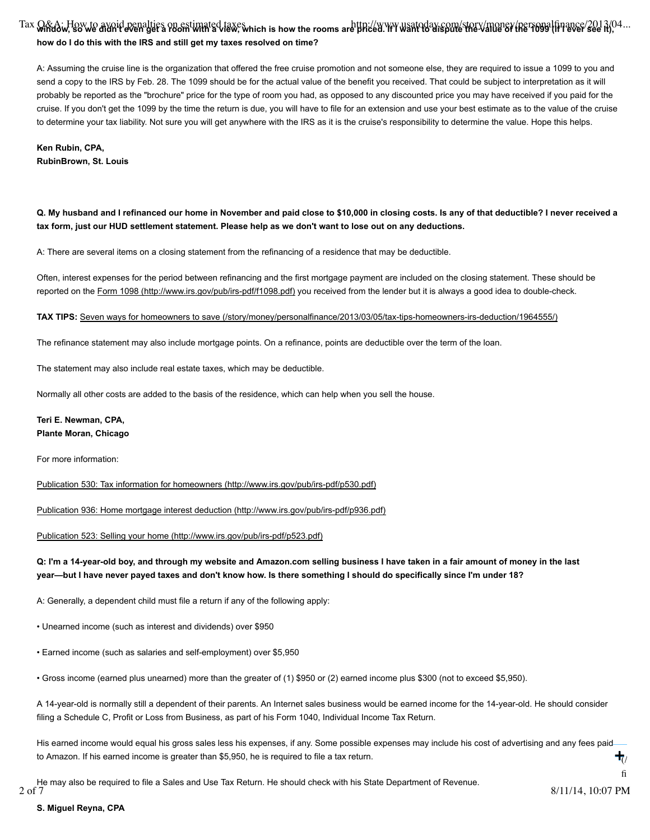# Tax O&A: How to avoid penalties on estimated taxes which is how the rooms are priced. If I want to dispute the value of the value of the rooms, which is how the rooms are priced. If I want to dispute the value of the 1099 **how do I do this with the IRS and still get my taxes resolved on time?**

A: Assuming the cruise line is the organization that offered the free cruise promotion and not someone else, they are required to issue a 1099 to you and send a copy to the IRS by Feb. 28. The 1099 should be for the actual value of the benefit you received. That could be subject to interpretation as it will probably be reported as the "brochure" price for the type of room you had, as opposed to any discounted price you may have received if you paid for the cruise. If you don't get the 1099 by the time the return is due, you will have to file for an extension and use your best estimate as to the value of the cruise to determine your tax liability. Not sure you will get anywhere with the IRS as it is the cruise's responsibility to determine the value. Hope this helps.

**Ken Rubin, CPA, RubinBrown, St. Louis**

## **Q. My husband and I refinanced our home in November and paid close to \$10,000 in closing costs. Is any of that deductible? I never received a tax form, just our HUD settlement statement. Please help as we don't want to lose out on any deductions.**

A: There are several items on a closing statement from the refinancing of a residence that may be deductible.

Often, interest expenses for the period between refinancing and the first mortgage payment are included on the closing statement. These should be reported on the Form 1098 (http://www.irs.gov/pub/irs-pdf/f1098.pdf) you received from the lender but it is always a good idea to double-check.

#### **TAX TIPS:** Seven ways for homeowners to save (/story/money/personalfinance/2013/03/05/tax-tips-homeowners-irs-deduction/1964555/)

The refinance statement may also include mortgage points. On a refinance, points are deductible over the term of the loan.

The statement may also include real estate taxes, which may be deductible.

Normally all other costs are added to the basis of the residence, which can help when you sell the house.

## **Teri E. Newman, CPA, Plante Moran, Chicago**

For more information:

Publication 530: Tax information for homeowners (http://www.irs.gov/pub/irs-pdf/p530.pdf)

Publication 936: Home mortgage interest deduction (http://www.irs.gov/pub/irs-pdf/p936.pdf)

#### Publication 523: Selling your home (http://www.irs.gov/pub/irs-pdf/p523.pdf)

## **Q: I'm a 14-year-old boy, and through my website and Amazon.com selling business I have taken in a fair amount of money in the last year—but I have never payed taxes and don't know how. Is there something I should do specifically since I'm under 18?**

A: Generally, a dependent child must file a return if any of the following apply:

• Unearned income (such as interest and dividends) over \$950

• Earned income (such as salaries and self-employment) over \$5,950

• Gross income (earned plus unearned) more than the greater of (1) \$950 or (2) earned income plus \$300 (not to exceed \$5,950).

A 14-year-old is normally still a dependent of their parents. An Internet sales business would be earned income for the 14-year-old. He should consider filing a Schedule C, Profit or Loss from Business, as part of his Form 1040, Individual Income Tax Return.

His earned income would equal his gross sales less his expenses, if any. Some possible expenses may include his cost of advertising and any fees paid to Amazon. If his earned income is greater than \$5,950, he is required to file a tax return.  $\overline{(\n}$ /story/money/personalized: **+**

He may also be required to file a Sales and Use Tax Return. He should check with his State Department of Revenue.<br>2 of 7

final-things-to-do- $\mathbf{f}$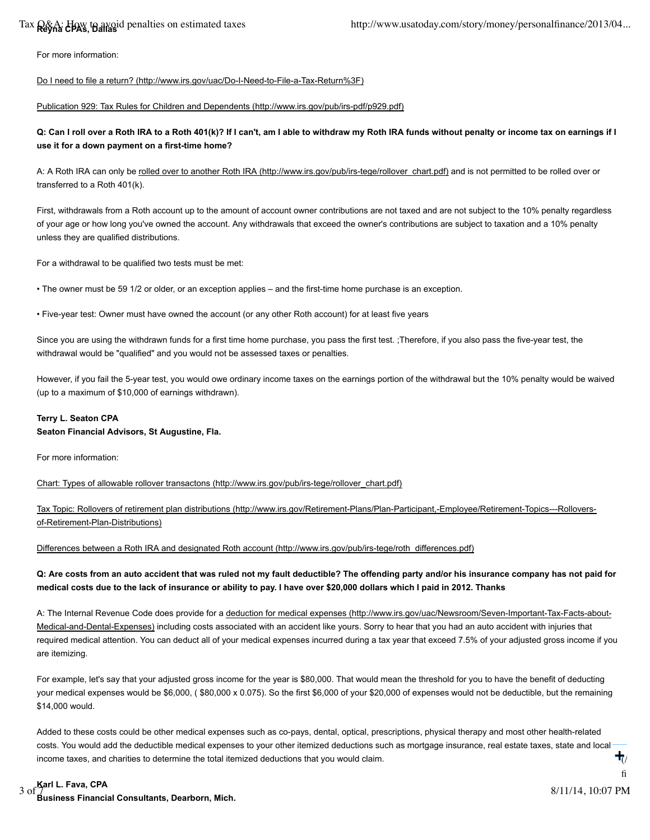# Tax **Q&A:** How to avoid penalties on estimated taxes

For more information:

## Do I need to file a return? (http://www.irs.gov/uac/Do-I-Need-to-File-a-Tax-Return%3F)

## Publication 929: Tax Rules for Children and Dependents (http://www.irs.gov/pub/irs-pdf/p929.pdf)

## **Q: Can I roll over a Roth IRA to a Roth 401(k)? If I can't, am I able to withdraw my Roth IRA funds without penalty or income tax on earnings if I use it for a down payment on a first-time home?**

A: A Roth IRA can only be rolled over to another Roth IRA (http://www.irs.gov/pub/irs-tege/rollover\_chart.pdf) and is not permitted to be rolled over or transferred to a Roth 401(k).

First, withdrawals from a Roth account up to the amount of account owner contributions are not taxed and are not subject to the 10% penalty regardless of your age or how long you've owned the account. Any withdrawals that exceed the owner's contributions are subject to taxation and a 10% penalty unless they are qualified distributions.

For a withdrawal to be qualified two tests must be met:

• The owner must be 59 1/2 or older, or an exception applies – and the first-time home purchase is an exception.

• Five-year test: Owner must have owned the account (or any other Roth account) for at least five years

Since you are using the withdrawn funds for a first time home purchase, you pass the first test. ;Therefore, if you also pass the five-year test, the withdrawal would be "qualified" and you would not be assessed taxes or penalties.

However, if you fail the 5-year test, you would owe ordinary income taxes on the earnings portion of the withdrawal but the 10% penalty would be waived (up to a maximum of \$10,000 of earnings withdrawn).

## **Terry L. Seaton CPA**

## **Seaton Financial Advisors, St Augustine, Fla.**

For more information:

Chart: Types of allowable rollover transactons (http://www.irs.gov/pub/irs-tege/rollover\_chart.pdf)

Tax Topic: Rollovers of retirement plan distributions (http://www.irs.gov/Retirement-Plans/Plan-Participant,-Employee/Retirement-Topics---Rolloversof-Retirement-Plan-Distributions)

Differences between a Roth IRA and designated Roth account (http://www.irs.gov/pub/irs-tege/roth\_differences.pdf)

## **Q: Are costs from an auto accident that was ruled not my fault deductible? The offending party and/or his insurance company has not paid for medical costs due to the lack of insurance or ability to pay. I have over \$20,000 dollars which I paid in 2012. Thanks**

A: The Internal Revenue Code does provide for a deduction for medical expenses (http://www.irs.gov/uac/Newsroom/Seven-Important-Tax-Facts-about-Medical-and-Dental-Expenses) including costs associated with an accident like yours. Sorry to hear that you had an auto accident with injuries that required medical attention. You can deduct all of your medical expenses incurred during a tax year that exceed 7.5% of your adjusted gross income if you are itemizing.

For example, let's say that your adjusted gross income for the year is \$80,000. That would mean the threshold for you to have the benefit of deducting your medical expenses would be \$6,000, ( \$80,000 x 0.075). So the first \$6,000 of your \$20,000 of expenses would not be deductible, but the remaining \$14,000 would.

Added to these costs could be other medical expenses such as co-pays, dental, optical, prescriptions, physical therapy and most other health-related costs. You would add the deductible medical expenses to your other itemized deductions such as mortgage insurance, real estate taxes, state and local income taxes, and charities to determine the total itemized deductions that you would claim.  $\overline{(\n}$ /story/money/personalized: **+**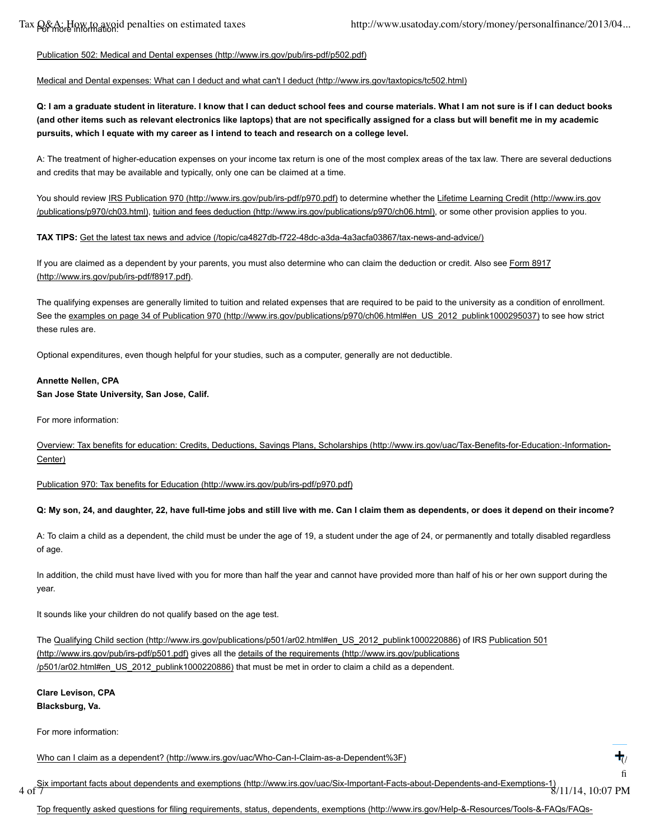# Publication 502: Medical and Dental expenses (http://www.irs.gov/pub/irs-pdf/p502.pdf)

## Medical and Dental expenses: What can I deduct and what can't I deduct (http://www.irs.gov/taxtopics/tc502.html)

**Q: I am a graduate student in literature. I know that I can deduct school fees and course materials. What I am not sure is if I can deduct books (and other items such as relevant electronics like laptops) that are not specifically assigned for a class but will benefit me in my academic pursuits, which I equate with my career as I intend to teach and research on a college level.**

A: The treatment of higher-education expenses on your income tax return is one of the most complex areas of the tax law. There are several deductions and credits that may be available and typically, only one can be claimed at a time.

You should review IRS Publication 970 (http://www.irs.gov/pub/irs-pdf/p970.pdf) to determine whether the Lifetime Learning Credit (http://www.irs.gov /publications/p970/ch03.html), tuition and fees deduction (http://www.irs.gov/publications/p970/ch06.html), or some other provision applies to you.

## **TAX TIPS:** Get the latest tax news and advice (/topic/ca4827db-f722-48dc-a3da-4a3acfa03867/tax-news-and-advice/)

If you are claimed as a dependent by your parents, you must also determine who can claim the deduction or credit. Also see Form 8917 (http://www.irs.gov/pub/irs-pdf/f8917.pdf).

The qualifying expenses are generally limited to tuition and related expenses that are required to be paid to the university as a condition of enrollment. See the examples on page 34 of Publication 970 (http://www.irs.gov/publications/p970/ch06.html#en\_US\_2012\_publink1000295037) to see how strict these rules are.

Optional expenditures, even though helpful for your studies, such as a computer, generally are not deductible.

# **Annette Nellen, CPA**

# **San Jose State University, San Jose, Calif.**

For more information:

Overview: Tax benefits for education: Credits, Deductions, Savings Plans, Scholarships (http://www.irs.gov/uac/Tax-Benefits-for-Education:-Information-Center)

Publication 970: Tax benefits for Education (http://www.irs.gov/pub/irs-pdf/p970.pdf)

# **Q: My son, 24, and daughter, 22, have full-time jobs and still live with me. Can I claim them as dependents, or does it depend on their income?**

A: To claim a child as a dependent, the child must be under the age of 19, a student under the age of 24, or permanently and totally disabled regardless of age.

In addition, the child must have lived with you for more than half the year and cannot have provided more than half of his or her own support during the year.

It sounds like your children do not qualify based on the age test.

The Qualifying Child section (http://www.irs.gov/publications/p501/ar02.html#en\_US\_2012\_publink1000220886) of IRS Publication 501 (http://www.irs.gov/pub/irs-pdf/p501.pdf) gives all the details of the requirements (http://www.irs.gov/publications /p501/ar02.html#en\_US\_2012\_publink1000220886) that must be met in order to claim a child as a dependent.

## **Clare Levison, CPA Blacksburg, Va.**

For more information:

Who can I claim as a dependent? (http://www.irs.gov/uac/Who-Can-I-Claim-as-a-Dependent%3F)

Six important facts about dependents and exemptions (http://www.irs.gov/uac/Six-Important-Facts-about-Dependents-and-Exemptions-1) 4 of 7 8/11/14, 10:07 PM

**+**

 $\overline{(\n}$ /story/money/personalized: final-things-to-do- $\mathbf{f}$ 

Top frequently asked questions for filing requirements, status, dependents, exemptions (http://www.irs.gov/Help-&-Resources/Tools-&-FAQs/FAQs-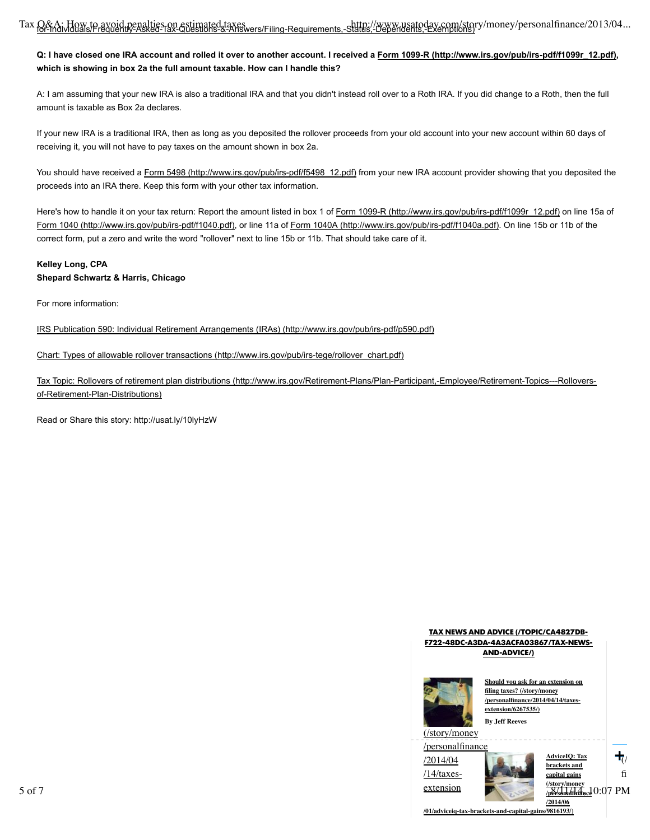## **Q: I have closed one IRA account and rolled it over to another account. I received a Form 1099-R (http://www.irs.gov/pub/irs-pdf/f1099r\_12.pdf), which is showing in box 2a the full amount taxable. How can I handle this?**

A: I am assuming that your new IRA is also a traditional IRA and that you didn't instead roll over to a Roth IRA. If you did change to a Roth, then the full amount is taxable as Box 2a declares.

If your new IRA is a traditional IRA, then as long as you deposited the rollover proceeds from your old account into your new account within 60 days of receiving it, you will not have to pay taxes on the amount shown in box 2a.

You should have received a Form 5498 (http://www.irs.gov/pub/irs-pdf/f5498\_12.pdf) from your new IRA account provider showing that you deposited the proceeds into an IRA there. Keep this form with your other tax information.

Here's how to handle it on your tax return: Report the amount listed in box 1 of Form 1099-R (http://www.irs.gov/pub/irs-pdf/f1099r\_12.pdf) on line 15a of Form 1040 (http://www.irs.gov/pub/irs-pdf/f1040.pdf), or line 11a of Form 1040A (http://www.irs.gov/pub/irs-pdf/f1040a.pdf). On line 15b or 11b of the correct form, put a zero and write the word "rollover" next to line 15b or 11b. That should take care of it.

## **Kelley Long, CPA Shepard Schwartz & Harris, Chicago**

For more information:

IRS Publication 590: Individual Retirement Arrangements (IRAs) (http://www.irs.gov/pub/irs-pdf/p590.pdf)

## Chart: Types of allowable rollover transactions (http://www.irs.gov/pub/irs-tege/rollover\_chart.pdf)

Tax Topic: Rollovers of retirement plan distributions (http://www.irs.gov/Retirement-Plans/Plan-Participant,-Employee/Retirement-Topics---Rolloversof-Retirement-Plan-Distributions)

Read or Share this story: http://usat.ly/10lyHzW







**AdviceIQ: Tax brackets and capital gains (/story/money /personalfinance /2014/06**  $\overline{(\n}$ /story/money/personalized: final-things-to-do- $\mathbf{f}$ **+**  $5 \text{ of } 7$   $\frac{\text{extension}}{\text{p6}\sqrt{\text{shkdfk}}\text{d} \cdot \text{c}} 0.07 \text{ PM}$ 

**/01/adviceiq-tax-brackets-and-capital-gains/9816193/)**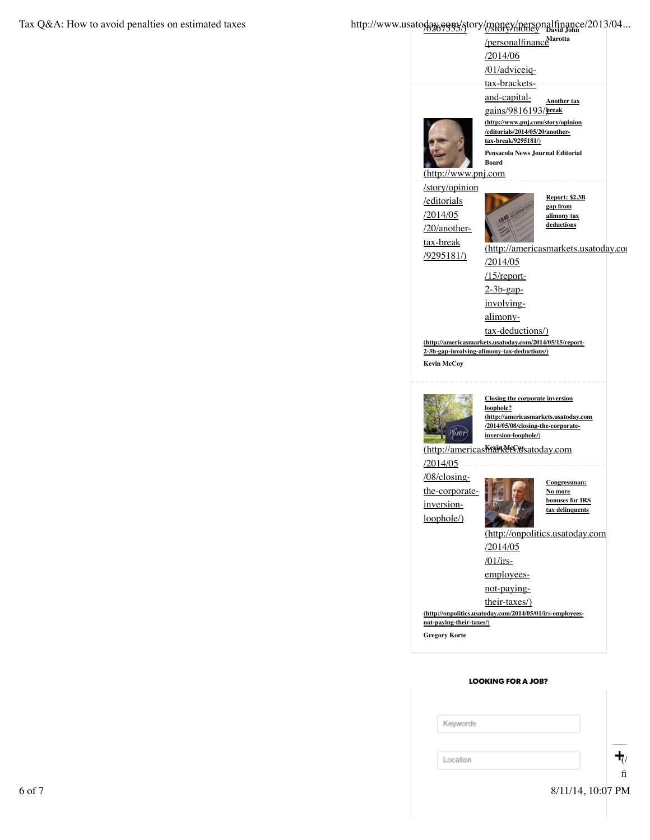# Tax Q&A: How to avoid penalties on estimated taxes http://www.usatoday.com/story/money/personalfinance/2013/04...<br>http://www.usatoday.com/story/money/newsitality/money/personalfinance/2013/04...



|  | Keywords |                   |
|--|----------|-------------------|
|  |          |                   |
|  | Location | $\mathbf{T}_{l}$  |
|  |          | $\sim$<br>h.      |
|  |          | 8/11/14, 10:07 PM |